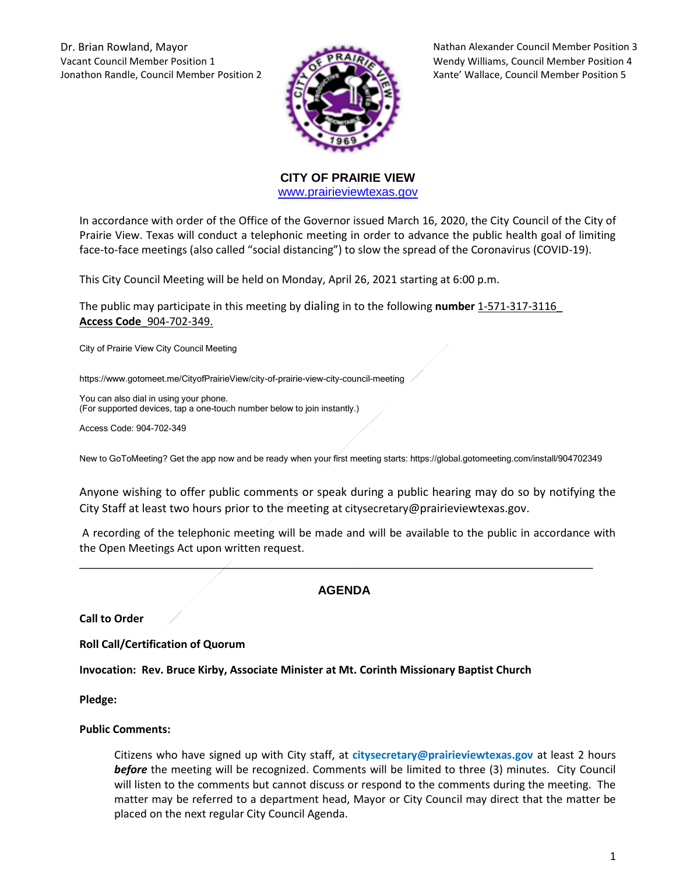Vacant Council Member Position 1 Wendy Williams, Council Member Position 4 Jonathon Randle, Council Member Position 2 Xante' Wallace, Council Member Position 5



Dr. Brian Rowland, Mayor Nathan Alexander Council Member Position 3

**CITY OF PRAIRIE VIEW**  [www.prairieviewtexas.gov](http://www.prairieviewtexas.gov/)

In accordance with order of the Office of the Governor issued March 16, 2020, the City Council of the City of Prairie View. Texas will conduct a telephonic meeting in order to advance the public health goal of limiting face-to-face meetings (also called "social distancing") to slow the spread of the Coronavirus (COVID-19).

This City Council Meeting will be held on Monday, April 26, 2021 starting at 6:00 p.m.

The public may participate in this meeting by dialing in to the following **number** 1-571-317-3116\_ **Access Code**\_904-702-349.

City of Prairie View City Council Meeting

https://www.gotomeet.me/CityofPrairieView/city-of-prairie-view-city-council-meeting

You can also dial in using your phone. (For supported devices, tap a one-touch number below to join instantly.)

Access Code: 904-702-349

New to GoToMeeting? Get the app now and be ready when your first meeting starts: https://global.gotomeeting.com/install/904702349

Anyone wishing to offer public comments or speak during a public hearing may do so by notifying the City Staff at least two hours prior to the meeting at citysecretary@prairieviewtexas.gov.

A recording of the telephonic meeting will be made and will be available to the public in accordance with the Open Meetings Act upon written request.

# **AGENDA**

\_\_\_\_\_\_\_\_\_\_\_\_\_\_\_\_\_\_\_\_\_\_\_\_\_\_\_\_\_\_\_\_\_\_\_\_\_\_\_\_\_\_\_\_\_\_\_\_\_\_\_\_\_\_\_\_\_\_\_\_\_\_\_\_\_\_\_\_\_\_\_\_\_\_\_\_

**Call to Order**

**Roll Call/Certification of Quorum**

**Invocation: Rev. Bruce Kirby, Associate Minister at Mt. Corinth Missionary Baptist Church**

**Pledge:** 

#### **Public Comments:**

Citizens who have signed up with City staff, at **citysecretary@prairieviewtexas.gov** at least 2 hours *before* the meeting will be recognized. Comments will be limited to three (3) minutes. City Council will listen to the comments but cannot discuss or respond to the comments during the meeting. The matter may be referred to a department head, Mayor or City Council may direct that the matter be placed on the next regular City Council Agenda.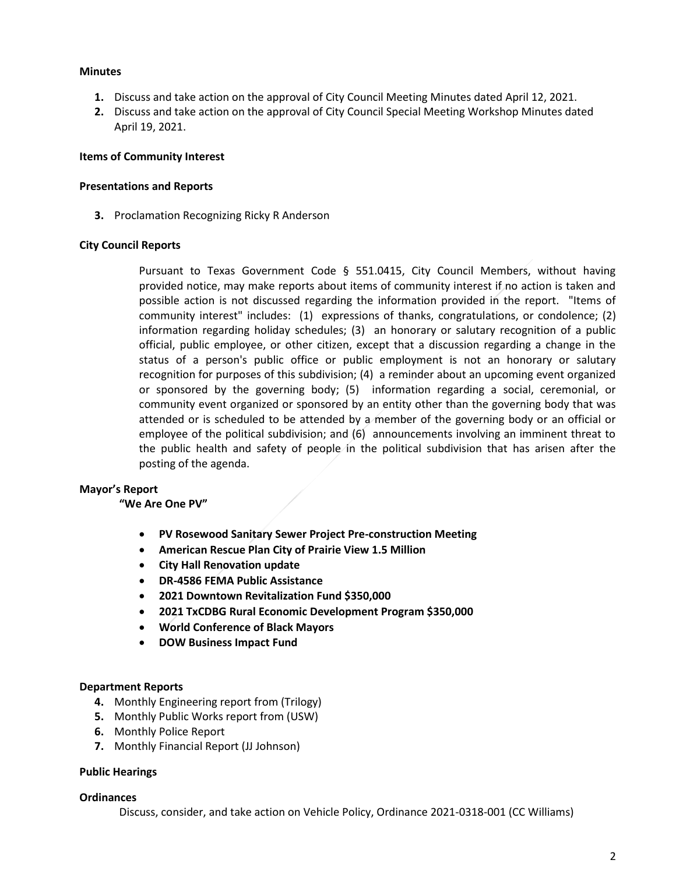#### **Minutes**

- **1.** Discuss and take action on the approval of City Council Meeting Minutes dated April 12, 2021.
- **2.** Discuss and take action on the approval of City Council Special Meeting Workshop Minutes dated April 19, 2021.

#### **Items of Community Interest**

#### **Presentations and Reports**

**3.** Proclamation Recognizing Ricky R Anderson

#### **City Council Reports**

Pursuant to Texas Government Code § 551.0415, City Council Members, without having provided notice, may make reports about items of community interest if no action is taken and possible action is not discussed regarding the information provided in the report. "Items of community interest" includes: (1) expressions of thanks, congratulations, or condolence; (2) information regarding holiday schedules; (3) an honorary or salutary recognition of a public official, public employee, or other citizen, except that a discussion regarding a change in the status of a person's public office or public employment is not an honorary or salutary recognition for purposes of this subdivision; (4) a reminder about an upcoming event organized or sponsored by the governing body; (5) information regarding a social, ceremonial, or community event organized or sponsored by an entity other than the governing body that was attended or is scheduled to be attended by a member of the governing body or an official or employee of the political subdivision; and (6) announcements involving an imminent threat to the public health and safety of people in the political subdivision that has arisen after the posting of the agenda.

# **Mayor's Report**

# **"We Are One PV"**

- **PV Rosewood Sanitary Sewer Project Pre-construction Meeting**
- **American Rescue Plan City of Prairie View 1.5 Million**
- **City Hall Renovation update**
- **DR-4586 FEMA Public Assistance**
- **2021 Downtown Revitalization Fund \$350,000**
- **2021 TxCDBG Rural Economic Development Program \$350,000**
- **World Conference of Black Mayors**
- **DOW Business Impact Fund**

# **Department Reports**

- **4.** Monthly Engineering report from (Trilogy)
- **5.** Monthly Public Works report from (USW)
- **6.** Monthly Police Report
- **7.** Monthly Financial Report (JJ Johnson)

# **Public Hearings**

#### **Ordinances**

Discuss, consider, and take action on Vehicle Policy, Ordinance 2021-0318-001 (CC Williams)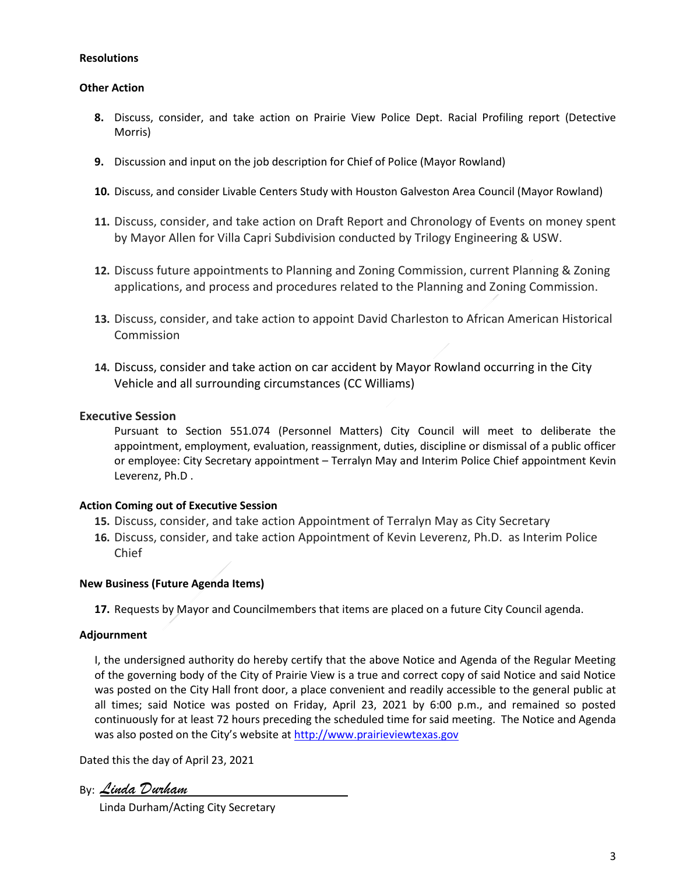# **Resolutions**

#### **Other Action**

- **8.** Discuss, consider, and take action on Prairie View Police Dept. Racial Profiling report (Detective Morris)
- **9.** Discussion and input on the job description for Chief of Police (Mayor Rowland)
- **10.** Discuss, and consider Livable Centers Study with Houston Galveston Area Council (Mayor Rowland)
- **11.** Discuss, consider, and take action on Draft Report and Chronology of Events on money spent by Mayor Allen for Villa Capri Subdivision conducted by Trilogy Engineering & USW.
- **12.** Discuss future appointments to Planning and Zoning Commission, current Planning & Zoning applications, and process and procedures related to the Planning and Zoning Commission.
- **13.** Discuss, consider, and take action to appoint David Charleston to African American Historical Commission
- **14.** Discuss, consider and take action on car accident by Mayor Rowland occurring in the City Vehicle and all surrounding circumstances (CC Williams)

# **Executive Session**

Pursuant to Section 551.074 (Personnel Matters) City Council will meet to deliberate the appointment, employment, evaluation, reassignment, duties, discipline or dismissal of a public officer or employee: City Secretary appointment – Terralyn May and Interim Police Chief appointment Kevin Leverenz, Ph.D .

#### **Action Coming out of Executive Session**

- **15.** Discuss, consider, and take action Appointment of Terralyn May as City Secretary
- **16.** Discuss, consider, and take action Appointment of Kevin Leverenz, Ph.D. as Interim Police Chief

# **New Business (Future Agenda Items)**

**17.** Requests by Mayor and Councilmembers that items are placed on a future City Council agenda.

# **Adjournment**

I, the undersigned authority do hereby certify that the above Notice and Agenda of the Regular Meeting of the governing body of the City of Prairie View is a true and correct copy of said Notice and said Notice was posted on the City Hall front door, a place convenient and readily accessible to the general public at all times; said Notice was posted on Friday, April 23, 2021 by 6:00 p.m., and remained so posted continuously for at least 72 hours preceding the scheduled time for said meeting. The Notice and Agenda was also posted on the City's website at [http://www.prairieviewtexas.gov](http://www.prairieviewtexas.gov/)

Dated this the day of April 23, 2021

By: *Linda Durham*

Linda Durham/Acting City Secretary